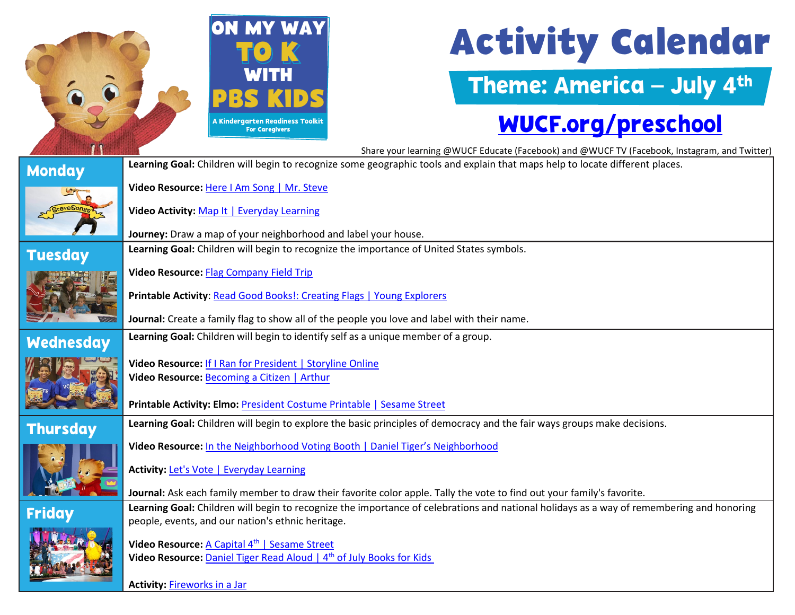

# **Activity Calendar**

### Theme: America – July 4th

#### [WUCF.org/preschool](https://www.wucf.org/community/family/wucf-on-my-way-to-k/)

Share your learning @WUCF Educate (Facebook) and @WUCF TV (Facebook, Instagram, and Twitter) **Monday** Learning Goal: Children will begin to recognize some geographic tools and explain that maps help to locate different places. **Video Resource:** [Here I Am Song | Mr. Steve](https://florida.pbslearningmedia.org/resource/ket-mrsteve-song2/here-i-am/support-materials/) **Video Activity:** [Map It | Everyday Learning](https://florida.pbslearningmedia.org/resource/buac17-k2-sci-ess-mapit/map-it/support-materials/) **Journey:** Draw a map of your neighborhood and label your house. **Tuesday** Learning Goal: Children will begin to recognize the importance of United States symbols. **Video Resource:** [Flag Company Field Trip](https://florida.pbslearningmedia.org/resource/1646de73-a9ea-4b42-8e6a-936de9001124/flag-company-field-trip/support-materials/) **Printable Activity**[: Read Good Books!: Creating Flags | Young Explorers](https://florida.pbslearningmedia.org/resource/e9e7de80-8b27-4251-b33c-5456bb219373/read-good-books-creating-flags-kids-young-explorers/) **Journal:** Create a family flag to show all of the people you love and label with their name. **Wednesday Learning Goal:** Children will begin to identify self as a unique member of a group. **Video Resource:** [If I Ran for President | Storyline Online](https://www.storylineonline.net/books/if-i-ran-for-president/) **Video Resource:** Becoming [a Citizen | Arthur](https://florida.pbslearningmedia.org/resource/ac20-citizencheikh/becoming-a-citizen-arthur/support-materials/) **Printable Activity: Elmo:** [President Costume Printable | Sesame Street](https://florida.pbslearningmedia.org/resource/sesame-etm-president-costume/elmo-the-musical-president-costume-printable-sesame-street/) **Thursday** Learning Goal: Children will begin to explore the basic principles of democracy and the fair ways groups make decisions.  **Video Resource:** [In the Neighborhood Voting Booth | Daniel Tiger's Neighborhood](https://florida.pbslearningmedia.org/resource/14317ab5-0915-4230-9d20-13ef02796aeb/in-the-neighborhood-voting-booth/support-materials/)  **Activity:** [Let's Vote | Everyday Learning](https://florida.pbslearningmedia.org/resource/ket-earlychild-ss9/lets-vote-everyday-learning/support-materials/)  **Journal:** Ask each family member to draw their favorite color apple. Tally the vote to find out your family's favorite. **Friday** Learning Goal: Children will begin to recognize the importance of celebrations and national holidays as a way of remembering and honoring people, events, and our nation's ethnic heritage. **Video Resource:** A Capital 4<sup>th</sup> [| Sesame Street](https://www.youtube.com/watch?v=iR0TD42xwCk) **Video Resource:** Daniel Tiger Read Aloud | 4<sup>th</sup> of July Books for Kids

 **Activity:** [Fireworks in a Jar](https://www.pbs.org/parents/crafts-and-experiments/oil-and-water-experiment-fireworks-in-a-jar)